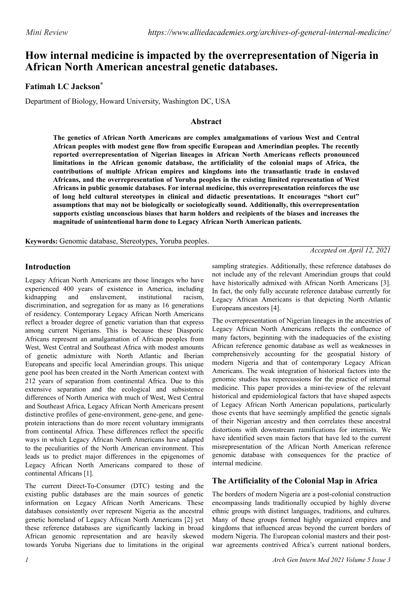# **How internal medicine is impacted by the overrepresentation of Nigeria in African North American ancestral genetic databases.**

# **Fatimah LC Jackson\***

Department of Biology, Howard University, Washington DC, USA

### **Abstract**

**The genetics of African North Americans are complex amalgamations of various West and Central African peoples with modest gene flow from specific European and Amerindian peoples. The recently reported overrepresentation of Nigerian lineages in African North Americans reflects pronounced limitations in the African genomic database, the artificiality of the colonial maps of Africa, the contributions of multiple African empires and kingdoms into the transatlantic trade in enslaved Africans, and the overrepresentation of Yoruba peoples in the existing limited representation of West Africans in public genomic databases. For internal medicine, this overrepresentation reinforces the use of long held cultural stereotypes in clinical and didactic presentations. It encourages "short cut" assumptions that may not be biologically or sociologically sound. Additionally, this overrepresentation supports existing unconscious biases that harm holders and recipients of the biases and increases the magnitude of unintentional harm done to Legacy African North American patients.**

**Keywords:** Genomic database, Stereotypes, Yoruba peoples.

*Accepted on April 12, 2021*

# **Introduction**

Legacy African North Americans are those lineages who have experienced 400 years of existence in America, including kidnapping and enslavement, institutional racism, discrimination, and segregation for as many as 16 generations of residency. Contemporary Legacy African North Americans reflect a broader degree of genetic variation than that express among current Nigerians. This is because these Diasporic Africans represent an amalgamation of African peoples from West, West Central and Southeast Africa with modest amounts of genetic admixture with North Atlantic and Iberian Europeans and specific local Amerindian groups. This unique gene pool has been created in the North American context with 212 years of separation from continental Africa. Due to this extensive separation and the ecological and subsistence differences of North America with much of West, West Central and Southeast Africa, Legacy African North Americans present distinctive profiles of gene-environment, gene-gene, and geneprotein interactions than do more recent voluntary immigrants from continental Africa. These differences reflect the specific ways in which Legacy African North Americans have adapted to the peculiarities of the North American environment. This leads us to predict major differences in the epigenomes of Legacy African North Americans compared to those of continental Africans [1].

The current Direct-To-Consumer (DTC) testing and the existing public databases are the main sources of genetic information on Legacy African North Americans. These databases consistently over represent Nigeria as the ancestral genetic homeland of Legacy African North Americans [2] yet these reference databases are significantly lacking in broad African genomic representation and are heavily skewed towards Yoruba Nigerians due to limitations in the original

sampling strategies. Additionally, these reference databases do not include any of the relevant Amerindian groups that could have historically admixed with African North Americans [3]. In fact, the only fully accurate reference database currently for Legacy African Americans is that depicting North Atlantic Europeans ancestors [4].

The overrepresentation of Nigerian lineages in the ancestries of Legacy African North Americans reflects the confluence of many factors, beginning with the inadequacies of the existing African reference genomic database as well as weaknesses in comprehensively accounting for the geospatial history of modern Nigeria and that of contemporary Legacy African Americans. The weak integration of historical factors into the genomic studies has repercussions for the practice of internal medicine. This paper provides a mini-review of the relevant historical and epidemiological factors that have shaped aspects of Legacy African North American populations, particularly those events that have seemingly amplified the genetic signals of their Nigerian ancestry and then correlates these ancestral distortions with downstream ramifications for internists. We have identified seven main factors that have led to the current misrepresentation of the African North American reference genomic database with consequences for the practice of internal medicine.

# **The Artificiality of the Colonial Map in Africa**

The borders of modern Nigeria are a post-colonial construction encompassing lands traditionally occupied by highly diverse ethnic groups with distinct languages, traditions, and cultures. Many of these groups formed highly organized empires and kingdoms that influenced areas beyond the current borders of modern Nigeria. The European colonial masters and their postwar agreements contrived Africa's current national borders,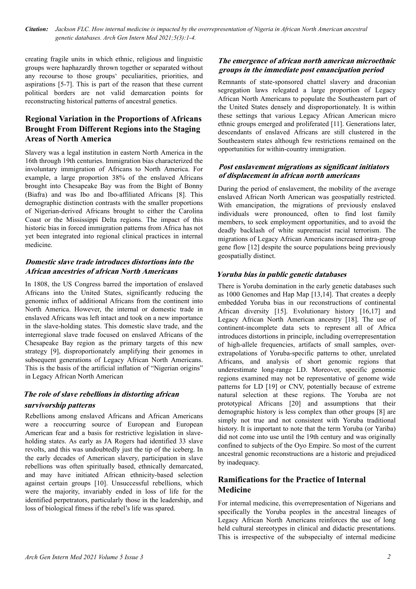*Citation: Jackson FLC. How internal medicine is impacted by the overrepresentation of Nigeria in African North American ancestral genetic databases. Arch Gen Intern Med 2021;5(3):1-4.*

creating fragile units in which ethnic, religious and linguistic groups were haphazardly thrown together or separated without any recourse to those groups' peculiarities, priorities, and aspirations [5-7]. This is part of the reason that these current political borders are not valid demarcation points for reconstructing historical patterns of ancestral genetics.

# **Regional Variation in the Proportions of Africans Brought From Different Regions into the Staging Areas of North America**

Slavery was a legal institution in eastern North America in the 16th through 19th centuries. Immigration bias characterized the involuntary immigration of Africans to North America. For example, a large proportion 38% of the enslaved Africans brought into Chesapeake Bay was from the Bight of Bonny (Biafra) and was Ibo and Ibo-affiliated Africans [8]. This demographic distinction contrasts with the smaller proportions of Nigerian-derived Africans brought to either the Carolina Coast or the Mississippi Delta regions. The impact of this historic bias in forced immigration patterns from Africa has not yet been integrated into regional clinical practices in internal medicine.

### **Domestic slave trade introduces distortions into the African ancestries of african North Americans**

In 1808, the US Congress barred the importation of enslaved Africans into the United States, significantly reducing the genomic influx of additional Africans from the continent into North America. However, the internal or domestic trade in enslaved Africans was left intact and took on a new importance in the slave-holding states. This domestic slave trade, and the interregional slave trade focused on enslaved Africans of the Chesapeake Bay region as the primary targets of this new strategy [9], disproportionately amplifying their genomes in subsequent generations of Legacy African North Americans. This is the basis of the artificial inflation of "Nigerian origins" in Legacy African North American

### **The role of slave rebellions in distorting african survivorship patterns**

Rebellions among enslaved Africans and African Americans were a reoccurring source of European and European American fear and a basis for restrictive legislation in slaveholding states. As early as JA Rogers had identified 33 slave revolts, and this was undoubtedly just the tip of the iceberg. In the early decades of American slavery, participation in slave rebellions was often spiritually based, ethnically demarcated, and may have initiated African ethnicity-based selection against certain groups [10]. Unsuccessful rebellions, which were the majority, invariably ended in loss of life for the identified perpetrators, particularly those in the leadership, and loss of biological fitness if the rebel's life was spared.

#### **The emergence of african north american microethnic groups in the immediate post emancipation period**

Remnants of state-sponsored chattel slavery and draconian segregation laws relegated a large proportion of Legacy African North Americans to populate the Southeastern part of the United States densely and disproportionately. It is within these settings that various Legacy African American micro ethnic groups emerged and proliferated [11]. Generations later, descendants of enslaved Africans are still clustered in the Southeastern states although few restrictions remained on the opportunities for within-country immigration.

#### **Post enslavement migrations as significant initiators of displacement in african north americans**

During the period of enslavement, the mobility of the average enslaved African North American was geospatially restricted. With emancipation, the migrations of previously enslaved individuals were pronounced, often to find lost family members, to seek employment opportunities, and to avoid the deadly backlash of white supremacist racial terrorism. The migrations of Legacy African Americans increased intra-group gene flow [12] despite the source populations being previously geospatially distinct.

#### **Yoruba bias in public genetic databases**

There is Yoruba domination in the early genetic databases such as 1000 Genomes and Hap Map [13,14]. That creates a deeply embedded Yoruba bias in our reconstructions of continental African diversity [15]. Evolutionary history [16,17] and Legacy African North American ancestry [18]. The use of continent-incomplete data sets to represent all of Africa introduces distortions in principle, including overrepresentation of high-allele frequencies, artifacts of small samples, overextrapolations of Yoruba-specific patterns to other, unrelated Africans, and analysis of short genomic regions that underestimate long-range LD. Moreover, specific genomic regions examined may not be representative of genome wide patterns for LD [19] or CNV, potentially because of extreme natural selection at these regions. The Yoruba are not prototypical Africans [20] and assumptions that their demographic history is less complex than other groups [8] are simply not true and not consistent with Yoruba traditional history. It is important to note that the term Yoruba (or Yariba) did not come into use until the 19th century and was originally confined to subjects of the Oyo Empire. So most of the current ancestral genomic reconstructions are a historic and prejudiced by inadequacy.

## **Ramifications for the Practice of Internal Medicine**

For internal medicine, this overrepresentation of Nigerians and specifically the Yoruba peoples in the ancestral lineages of Legacy African North Americans reinforces the use of long held cultural stereotypes in clinical and didactic presentations. This is irrespective of the subspecialty of internal medicine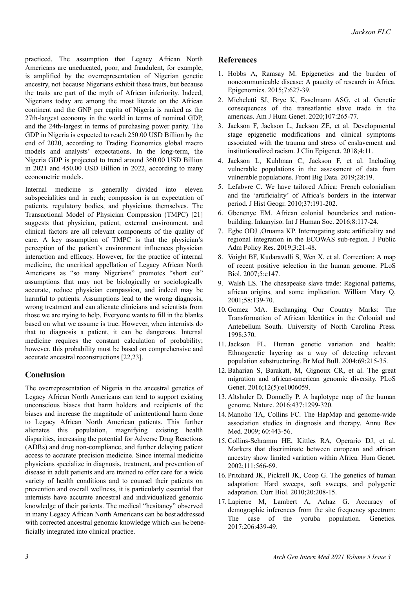practiced. The assumption that Legacy African North Americans are uneducated, poor, and fraudulent, for example, is amplified by the overrepresentation of Nigerian genetic ancestry, not because Nigerians exhibit these traits, but because the traits are part of the myth of African inferiority. Indeed, Nigerians today are among the most literate on the African continent and the GNP per capita of Nigeria is ranked as the 27th-largest economy in the world in terms of nominal GDP, and the 24th-largest in terms of purchasing power parity. The GDP in Nigeria is expected to reach 250.00 USD Billion by the end of 2020, according to Trading Economics global macro models and analysts' expectations. In the long-term, the Nigeria GDP is projected to trend around 360.00 USD Billion in 2021 and 450.00 USD Billion in 2022, according to many econometric models.

Internal medicine is generally divided into eleven subspecialities and in each; compassion is an expectation of patients, regulatory bodies, and physicians themselves. The Transactional Model of Physician Compassion (TMPC) [21] suggests that physician, patient, external environment, and clinical factors are all relevant components of the quality of care. A key assumption of TMPC is that the physician's perception of the patient's environment influences physician interaction and efficacy. However, for the practice of internal medicine, the uncritical appellation of Legacy African North Americans as "so many Nigerians" promotes "short cut" assumptions that may not be biologically or sociologically accurate, reduce physician compassion, and indeed may be harmful to patients. Assumptions lead to the wrong diagnosis, wrong treatment and can alienate clinicians and scientists from those we are trying to help. Everyone wants to fill in the blanks based on what we assume is true. However, when internists do that to diagnosis a patient, it can be dangerous. Internal medicine requires the constant calculation of probability; however, this probability must be based on comprehensive and accurate ancestral reconstructions [22,23].

#### **Conclusion**

The overrepresentation of Nigeria in the ancestral genetics of Legacy African North Americans can tend to support existing unconscious biases that harm holders and recipients of the biases and increase the magnitude of unintentional harm done to Legacy African North American patients. This further alienates this population, magnifying existing health disparities, increasing the potential for Adverse Drug Reactions (ADRs) and drug non-compliance, and further delaying patient access to accurate precision medicine. Since internal medicine physicians specialize in diagnosis, treatment, and prevention of disease in adult patients and are trained to offer care for a wide variety of health conditions and to counsel their patients on prevention and overall wellness, it is particularly essential that internists have accurate ancestral and individualized genomic knowledge of their patients. The medical "hesitancy" observed in many Legacy African North Americans can be best addressed with corrected ancestral genomic knowledge which can be beneficially integrated into clinical practice.

#### **References**

- 1. Hobbs A, Ramsay M. Epigenetics and the burden of noncommunicable disease: A paucity of research in Africa. Epigenomics. 2015;7:627-39.
- 2. [Micheletti SJ, Bryc K, Esselmann ASG, et al. Genetic](https://doi.org/10.1016/j.ajhg.2020.06.012) [consequences of the transatlantic slave trade in the](https://doi.org/10.1016/j.ajhg.2020.06.012) [americas. Am J Hum Genet. 2020;107:265-7](https://doi.org/10.1016/j.ajhg.2020.06.012)7.
- 3. Jackson F, Jackson L, Jackson ZE, et al. Developmental stage epigenetic modifications and clinical symptoms associated with the trauma and stress of enslavement and institutionalized racism. J Clin Epigenet. 2018;4:11.
- 4. [Jackson L, Kuhlman C, Jackson F, et al. Including](https://doi.org/10.3389/fdata.2019.00019) [vulnerable populations in the assessment of data from](https://doi.org/10.3389/fdata.2019.00019) [vulnerable populations. Front Big Data. 2019;](https://doi.org/10.3389/fdata.2019.00019)28:19.
- 5. [Lefabvre C. We have tailored Africa: French colonialism](https://doi.org/10.1016/j.jhg.2010.11.004) [and the 'artificiality' of Africa's borders in the interwar](https://doi.org/10.1016/j.jhg.2010.11.004) [period. J Hist Geogr. 2010;37:191-202.](https://doi.org/10.1016/j.jhg.2010.11.004)
- 6. Gbenenye EM. African colonial boundaries and nationbuilding. Inkanyiso. Int J Human Soc. 2016;8:117-24.
- 7. Egbe ODJ ,Oruama KP. Interrogating state artificiality and regional integration in the ECOWAS sub-region. J Public Adm Policy Res. 2019;3:21-48.
- 8. [Voight BF, Kudaravalli S, Wen X, et al. Correction: A map](https://doi.org/10.1371/journal.pbio.0040072) [of recent positive selection in the human genome. PLoS](https://doi.org/10.1371/journal.pbio.0040072) [Biol. 2007;5:e147.](https://doi.org/10.1371/journal.pbio.0040072)
- 9. [Walsh LS. The chesapeake slave trade: Regional patterns,](https://doi.org/10.2307/2674422) [african origins, and some implication. William Mary Q.](https://doi.org/10.2307/2674422) [2001;58:139-70](https://doi.org/10.2307/2674422).
- 10. [Gomez MA. Exchanging Our Country Marks: The](https://www.journals.uchicago.edu/doi/full/10.1086/709550) [Transformation of African Identities in the Colonial and](https://www.journals.uchicago.edu/doi/full/10.1086/709550) [Antebellum South. University of North Carolina Press.](https://www.journals.uchicago.edu/doi/full/10.1086/709550) [1998;370.](https://www.journals.uchicago.edu/doi/full/10.1086/709550)
- 11. [Jackson FL. Human genetic variation and health:](https://doi.org/10.1093/bmb/ldh012) [Ethnogenetic layering as a way of detecting relevant](https://doi.org/10.1093/bmb/ldh012) [population substructuring. Br Med Bull. 2004;69:215-35](https://doi.org/10.1093/bmb/ldh012).
- 12. [Baharian S, Barakatt, M, Gignoux CR, et al. The great](https://doi.org/10.1371/journal.pgen.1006059) [migration and african-american genomic diversity. PLoS](https://doi.org/10.1371/journal.pgen.1006059) [Genet. 2016;12\(](https://doi.org/10.1371/journal.pgen.1006059)5):e1006059.
- 13. Altshuler D, Donnelly P. A haplotype map of the human genome. Nature. 2016;437:1299-320.
- 14. [Manolio TA, Collins FC. The HapMap and genome-wide](https://doi.org/10.1146/annurev.med.60.061907.093117) [association studies in diagnosis and therapy. Annu Rev](https://doi.org/10.1146/annurev.med.60.061907.093117) [Med. 2009; 60:443-56.](https://doi.org/10.1146/annurev.med.60.061907.093117)
- 15. [Collins-Schramm HE, Kittles RA, Operario DJ, et al.](https://doi.org/10.1007/s00439-002-0818-z) [Markers that discriminate between european and african](https://doi.org/10.1007/s00439-002-0818-z) [ancestry show limited variation within Africa. Hum Genet.](https://doi.org/10.1007/s00439-002-0818-z) [2002;111:566-69.](https://doi.org/10.1007/s00439-002-0818-z)
- 16. [Pritchard JK, Pickrell JK, Coop G. The genetics of human](https://doi.org/10.1016/j.cub.2009.11.055) [adaptation: Hard sweeps, soft sweeps, and polygenic](https://doi.org/10.1016/j.cub.2009.11.055) [adaptation. Curr Biol. 2010;20:208-15.](https://doi.org/10.1016/j.cub.2009.11.055)
- 17. [Lapierre M, Lambert A, Achaz G. Accuracy of](https://doi.org/10.1534/genetics.116.192708) [demographic inferences from the site frequency spectrum:](https://doi.org/10.1534/genetics.116.192708) [The case of the yoruba population. Genetics.](https://doi.org/10.1534/genetics.116.192708) [2017;206:439-49](https://doi.org/10.1534/genetics.116.192708).